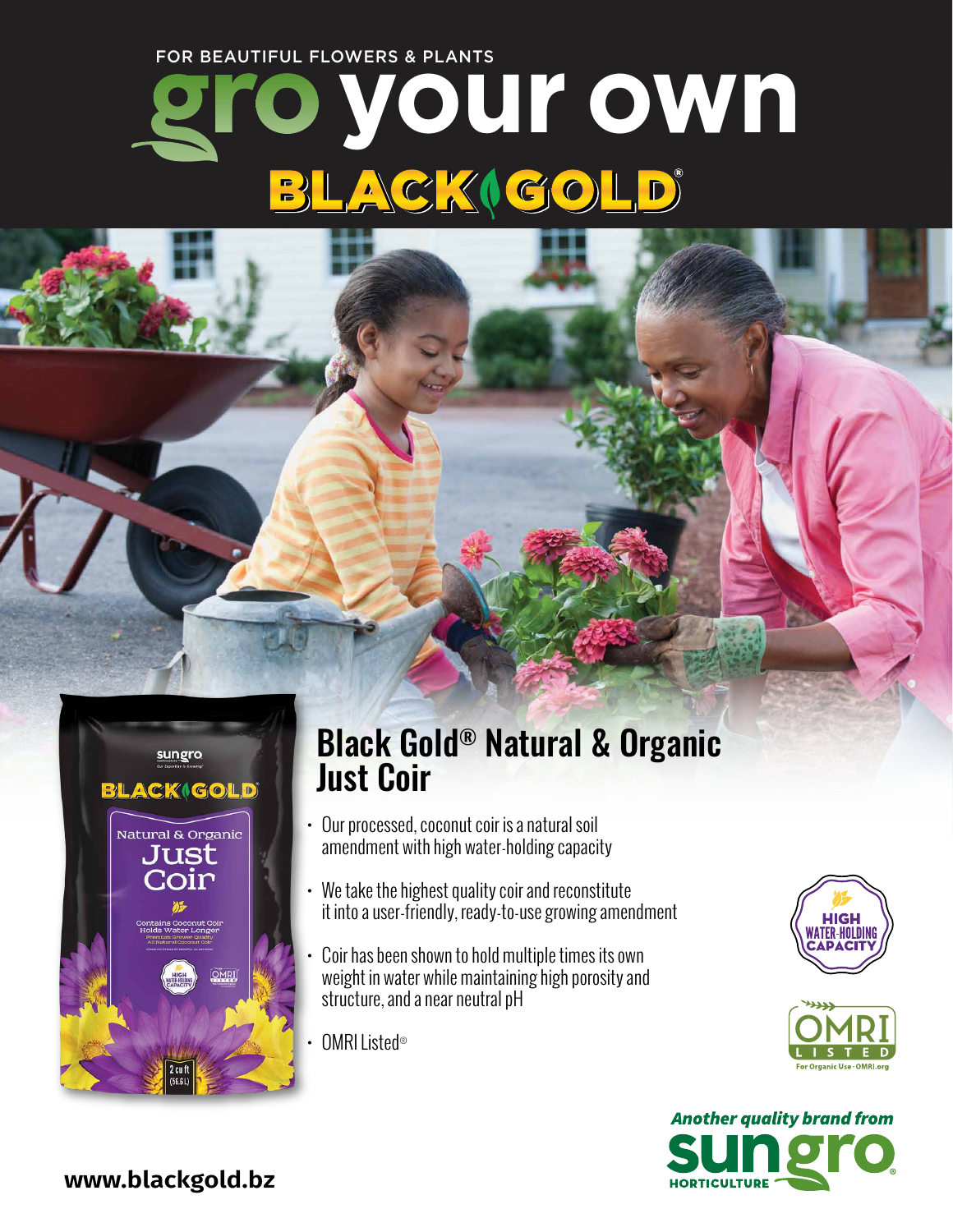### FOR BEAUTIFUL FLOWERS & PLANTS

# **your own** LACKIGOLD  $\begin{bmatrix} 1 \\ -1 \end{bmatrix}$



### Black Gold® Natural & Organic Just Coir

- Our processed, coconut coir is a natural soil amendment with high water-holding capacity
- We take the highest quality coir and reconstitute it into a user-friendly, ready-to-use growing amendment
- Coir has been shown to hold multiple times its own weight in water while maintaining high porosity and structure, and a near neutral pH
- OMRI Listed®







**www.blackgold.bz**